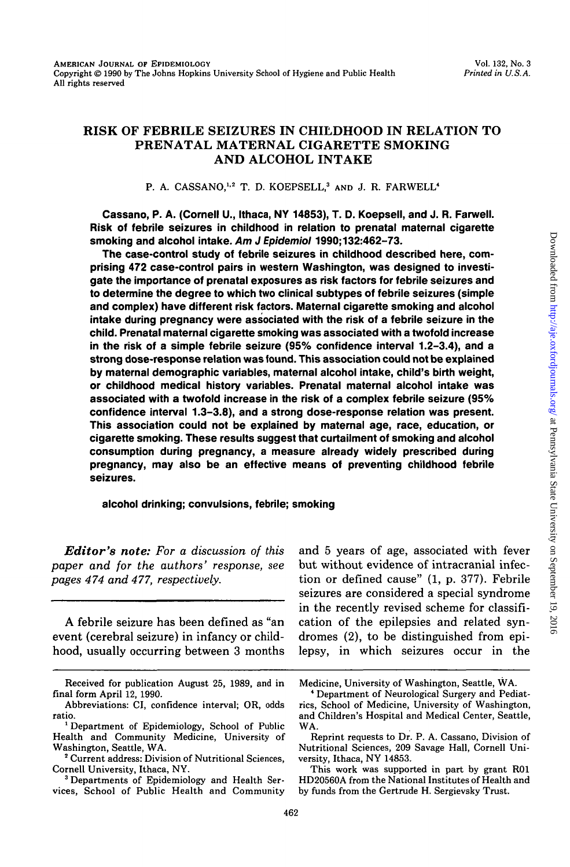# RISK OF FEBRILE SEIZURES IN CHILDHOOD IN RELATION TO PRENATAL MATERNAL CIGARETTE SMOKING AND ALCOHOL INTAKE

P. A. CASSANO,<sup>1,2</sup> T. D. KOEPSELL,<sup>3</sup> AND J. R. FARWELL<sup>4</sup>

**Cassano, P. A. (Cornell U., Ithaca, NY 14853), T. D. Koepsell, and J. R. Farwell. Risk of febrile seizures in childhood in relation to prenatal maternal cigarette smoking and alcohol intake. Am J Epidemiol 1990;132:462-73.**

**The case-control study of febrile seizures in childhood described here, comprising 472 case-control pairs in western Washington, was designed to investigate the importance of prenatal exposures as risk factors for febrile seizures and to determine the degree to which two clinical subtypes of febrile seizures (simple and complex) have different risk factors. Maternal cigarette smoking and alcohol intake during pregnancy were associated with the risk of a febrile seizure in the child. Prenatal maternal cigarette smoking was associated with a twofold increase in the risk of a simple febrile seizure (95% confidence interval 1.2-3.4), and a strong dose-response relation was found. This association could not be explained by maternal demographic variables, maternal alcohol intake, child's birth weight, or childhood medical history variables. Prenatal maternal alcohol intake was associated with a twofold increase in the risk of a complex febrile seizure (95% confidence interval 1.3-3.8), and a strong dose-response relation was present. This association could not be explained by maternal age, race, education, or cigarette smoking. These results suggest that curtailment of smoking and alcohol consumption during pregnancy, a measure already widely prescribed during pregnancy, may also be an effective means of preventing childhood febrile seizures.**

**alcohol drinking; convulsions, febrile; smoking**

*paper and for the authors' response, see* but without evidence of intracranial infec*pages 474 and 477, respectively.* tion or defined cause" (1, p. 377). Febrile

event (cerebral seizure) in infancy or child- dromes (2), to be distinguished from epihood, usually occurring between 3 months lepsy, in which seizures occur in the

*Editor's note: For a discussion of this* and 5 years of age, associated with fever seizures are considered a special syndrome in the recently revised scheme for classifi-A febrile seizure has been defined as "an cation of the epilepsies and related syn-

Received for publication August 25, 1989, and in Medicine, University of Washington, Seattle, WA.<br>final form April 12, 1990. **\*** \* \* \* \* \* \* Department of Neurological Surgery and Pedi

<sup>&</sup>lt;sup>1</sup> Department of Epidemiology, School of Public WA. Health and Community Medicine, University of Reprint requests to Dr. P. A. Cassano, Division of Washington, Seattle, WA.

<sup>&</sup>lt;sup>2</sup> Current address: Division of Nutritional Sciences, Cornell University, Ithaca, NY.

vices, School of Public Health and Community by funds from the Gertrude H. Sergievsky Trust.

Hepartment of Neurological Surgery and Pediat-<br>Abbreviations: CI, confidence interval; OR, odds rics, School of Medicine, University of Washington, rics, School of Medicine, University of Washington, ratio. and Children's Hospital and Medical Center, Seattle,

Nutritional Sciences, 209 Savage Hall, Cornell Uni-<br>versity, Ithaca, NY 14853.

This work was supported in part by grant R01 HD20560A from the National Institutes of Health and <sup>3</sup> Departments of Epidemiology and Health Ser- HD20560A from the National Institutes of Health and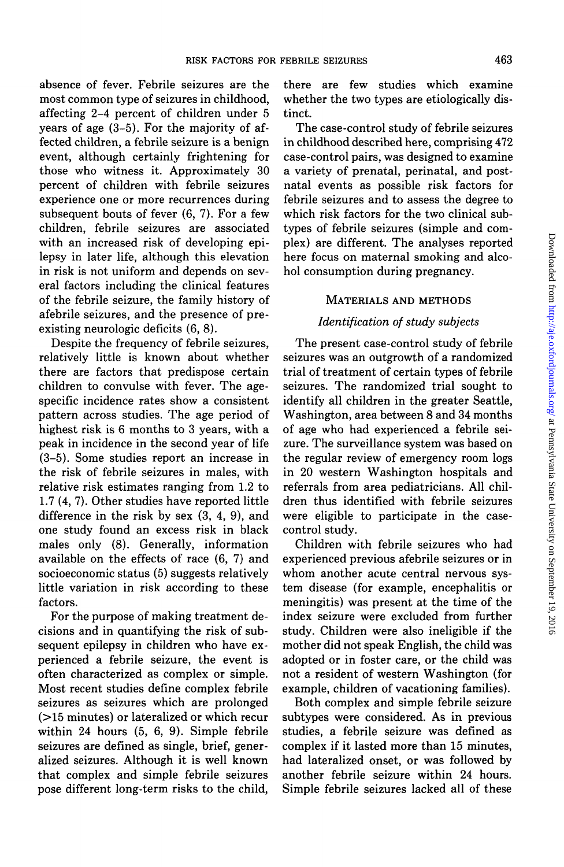absence of fever. Febrile seizures are the most common type of seizures in childhood, affecting 2-4 percent of children under 5 years of age (3-5). For the majority of affected children, a febrile seizure is a benign event, although certainly frightening for those who witness it. Approximately 30 percent of children with febrile seizures experience one or more recurrences during subsequent bouts of fever (6, 7). For a few children, febrile seizures are associated with an increased risk of developing epilepsy in later life, although this elevation in risk is not uniform and depends on several factors including the clinical features of the febrile seizure, the family history of afebrile seizures, and the presence of preexisting neurologic deficits (6, 8).

Despite the frequency of febrile seizures, relatively little is known about whether there are factors that predispose certain children to convulse with fever. The agespecific incidence rates show a consistent pattern across studies. The age period of highest risk is 6 months to 3 years, with a peak in incidence in the second year of life (3-5). Some studies report an increase in the risk of febrile seizures in males, with relative risk estimates ranging from 1.2 to 1.7 (4, 7). Other studies have reported little difference in the risk by sex (3, 4, 9), and one study found an excess risk in black males only (8). Generally, information available on the effects of race (6, 7) and socioeconomic status (5) suggests relatively little variation in risk according to these factors.

For the purpose of making treatment decisions and in quantifying the risk of subsequent epilepsy in children who have experienced a febrile seizure, the event is often characterized as complex or simple. Most recent studies define complex febrile seizures as seizures which are prolonged (>15 minutes) or lateralized or which recur within 24 hours (5, 6, 9). Simple febrile seizures are defined as single, brief, generalized seizures. Although it is well known that complex and simple febrile seizures pose different long-term risks to the child,

there are few studies which examine whether the two types are etiologically distinct.

The case-control study of febrile seizures in childhood described here, comprising 472 case-control pairs, was designed to examine a variety of prenatal, perinatal, and postnatal events as possible risk factors for febrile seizures and to assess the degree to which risk factors for the two clinical subtypes of febrile seizures (simple and complex) are different. The analyses reported here focus on maternal smoking and alcohol consumption during pregnancy.

### MATERIALS AND METHODS

### *Identification of study subjects*

The present case-control study of febrile seizures was an outgrowth of a randomized trial of treatment of certain types of febrile seizures. The randomized trial sought to identify all children in the greater Seattle, Washington, area between 8 and 34 months of age who had experienced a febrile seizure. The surveillance system was based on the regular review of emergency room logs in 20 western Washington hospitals and referrals from area pediatricians. All children thus identified with febrile seizures were eligible to participate in the casecontrol study.

Children with febrile seizures who had experienced previous afebrile seizures or in whom another acute central nervous system disease (for example, encephalitis or meningitis) was present at the time of the index seizure were excluded from further study. Children were also ineligible if the mother did not speak English, the child was adopted or in foster care, or the child was not a resident of western Washington (for example, children of vacationing families).

Both complex and simple febrile seizure subtypes were considered. As in previous studies, a febrile seizure was defined as complex if it lasted more than 15 minutes, had lateralized onset, or was followed by another febrile seizure within 24 hours. Simple febrile seizures lacked all of these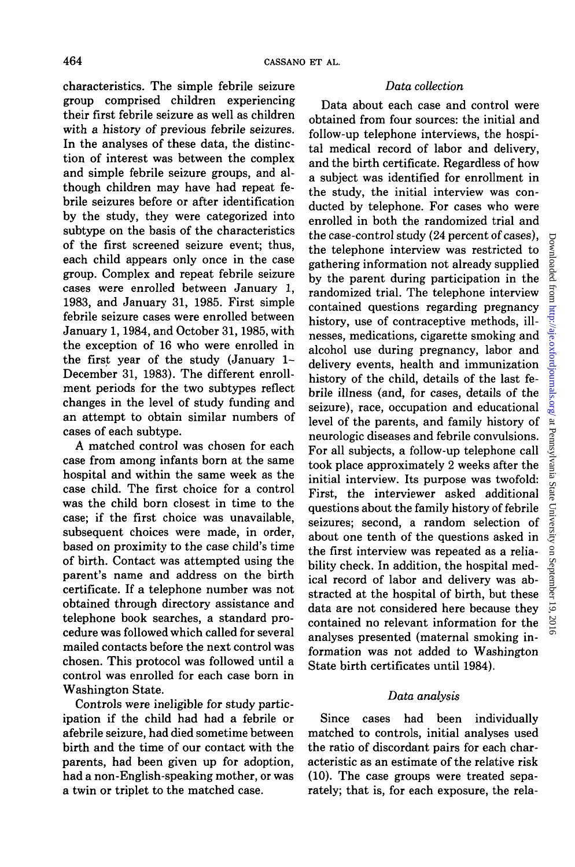characteristics. The simple febrile seizure group comprised children experiencing their first febrile seizure as well as children with a history of previous febrile seizures. In the analyses of these data, the distinction of interest was between the complex and simple febrile seizure groups, and although children may have had repeat febrile seizures before or after identification by the study, they were categorized into subtype on the basis of the characteristics of the first screened seizure event; thus, each child appears only once in the case group. Complex and repeat febrile seizure cases were enrolled between January 1, 1983, and January 31, 1985. First simple febrile seizure cases were enrolled between January 1,1984, and October 31,1985, with the exception of 16 who were enrolled in the first year of the study (January 1- December 31, 1983). The different enrollment periods for the two subtypes reflect changes in the level of study funding and an attempt to obtain similar numbers of cases of each subtype.

A matched control was chosen for each case from among infants born at the same hospital and within the same week as the case child. The first choice for a control was the child born closest in time to the case; if the first choice was unavailable, subsequent choices were made, in order, based on proximity to the case child's time of birth. Contact was attempted using the parent's name and address on the birth certificate. If a telephone number was not obtained through directory assistance and telephone book searches, a standard procedure was followed which called for several mailed contacts before the next control was chosen. This protocol was followed until a control was enrolled for each case born in Washington State.

Controls were ineligible for study participation if the child had had a febrile or afebrile seizure, had died sometime between birth and the time of our contact with the parents, had been given up for adoption, had a non-English-speaking mother, or was a twin or triplet to the matched case.

## *Data collection*

Data about each case and control were obtained from four sources: the initial and follow-up telephone interviews, the hospital medical record of labor and delivery, and the birth certificate. Regardless of how a subject was identified for enrollment in the study, the initial interview was conducted by telephone. For cases who were enrolled in both the randomized trial and the case-control study (24 percent of cases), the telephone interview was restricted to gathering information not already supplied by the parent during participation in the randomized trial. The telephone interview contained questions regarding pregnancy history, use of contraceptive methods, illnesses, medications, cigarette smoking and alcohol use during pregnancy, labor and delivery events, health and immunization history of the child, details of the last febrile illness (and, for cases, details of the seizure), race, occupation and educational level of the parents, and family history of neurologic diseases and febrile convulsions. For all subjects, a follow-up telephone call took place approximately 2 weeks after the initial interview. Its purpose was twofold: First, the interviewer asked additional questions about the family history of febrile seizures; second, a random selection of about one tenth of the questions asked in about one tenth of the questions asked in bility check. In addition, the hospital medbility check. In addition, the hospital med-<br>ical record of labor and delivery was abstracted at the hospital of birth, but these data are not considered the considered here because the because the because the because the because the because the cata are not considered nere because they contained no relevant information for the analyses presented (maternal smoking information was not added to Washington<br>State birth certificates until 1984).

### *Data analysis*

Since cases had been individually matched to controls, initial analyses used the ratio of discordant pairs for each characteristic as an estimate of the relative risk (10). The case groups were treated separately; that is, for each exposure, the rela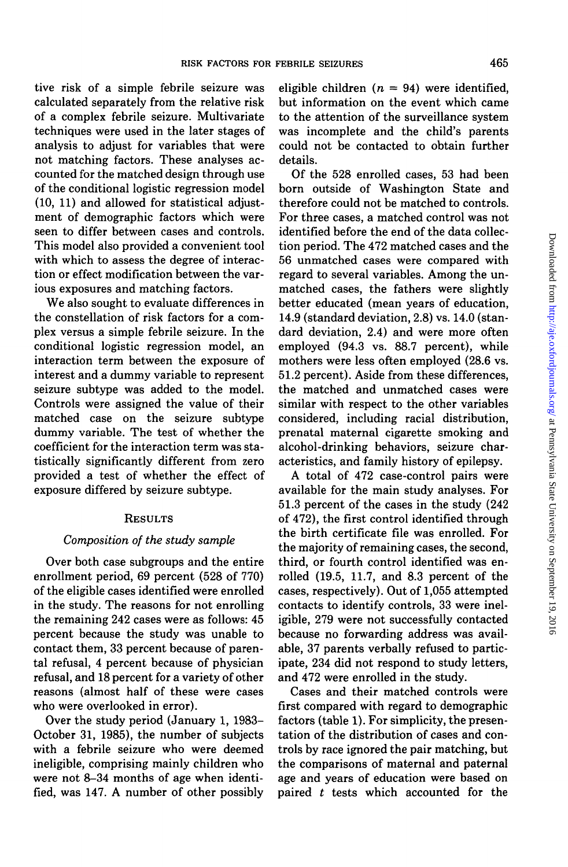tive risk of a simple febrile seizure was calculated separately from the relative risk of a complex febrile seizure. Multivariate techniques were used in the later stages of analysis to adjust for variables that were not matching factors. These analyses accounted for the matched design through use of the conditional logistic regression model (10, 11) and allowed for statistical adjustment of demographic factors which were seen to differ between cases and controls. This model also provided a convenient tool with which to assess the degree of interaction or effect modification between the various exposures and matching factors.

We also sought to evaluate differences in the constellation of risk factors for a complex versus a simple febrile seizure. In the conditional logistic regression model, an interaction term between the exposure of interest and a dummy variable to represent seizure subtype was added to the model. Controls were assigned the value of their matched case on the seizure subtype dummy variable. The test of whether the coefficient for the interaction term was statistically significantly different from zero provided a test of whether the effect of exposure differed by seizure subtype.

### **RESULTS**

## *Composition of the study sample*

Over both case subgroups and the entire enrollment period, 69 percent (528 of 770) of the eligible cases identified were enrolled in the study. The reasons for not enrolling the remaining 242 cases were as follows: 45 percent because the study was unable to contact them, 33 percent because of parental refusal, 4 percent because of physician refusal, and 18 percent for a variety of other reasons (almost half of these were cases who were overlooked in error).

Over the study period (January 1, 1983- October 31, 1985), the number of subjects with a febrile seizure who were deemed ineligible, comprising mainly children who were not 8-34 months of age when identified, was 147. A number of other possibly

eligible children *(n =* 94) were identified, but information on the event which came to the attention of the surveillance system was incomplete and the child's parents could not be contacted to obtain further details.

Of the 528 enrolled cases, 53 had been born outside of Washington State and therefore could not be matched to controls. For three cases, a matched control was not identified before the end of the data collection period. The 472 matched cases and the 56 unmatched cases were compared with regard to several variables. Among the unmatched cases, the fathers were slightly better educated (mean years of education, 14.9 (standard deviation, 2.8) vs. 14.0 (standard deviation, 2.4) and were more often employed (94.3 vs. 88.7 percent), while mothers were less often employed (28.6 vs. 51.2 percent). Aside from these differences, the matched and unmatched cases were similar with respect to the other variables considered, including racial distribution, prenatal maternal cigarette smoking and alcohol-drinking behaviors, seizure characteristics, and family history of epilepsy.

A total of 472 case-control pairs were available for the main study analyses. For 51.3 percent of the cases in the study (242 of 472), the first control identified through the birth certificate file was enrolled. For the majority of remaining cases, the second, third, or fourth control identified was enrolled (19.5, 11.7, and 8.3 percent of the cases, respectively). Out of 1,055 attempted contacts to identify controls, 33 were ineligible, 279 were not successfully contacted because no forwarding address was available, 37 parents verbally refused to participate, 234 did not respond to study letters, and 472 were enrolled in the study.

Cases and their matched controls were first compared with regard to demographic factors (table 1). For simplicity, the presentation of the distribution of cases and controls by race ignored the pair matching, but the comparisons of maternal and paternal age and years of education were based on paired *t* tests which accounted for the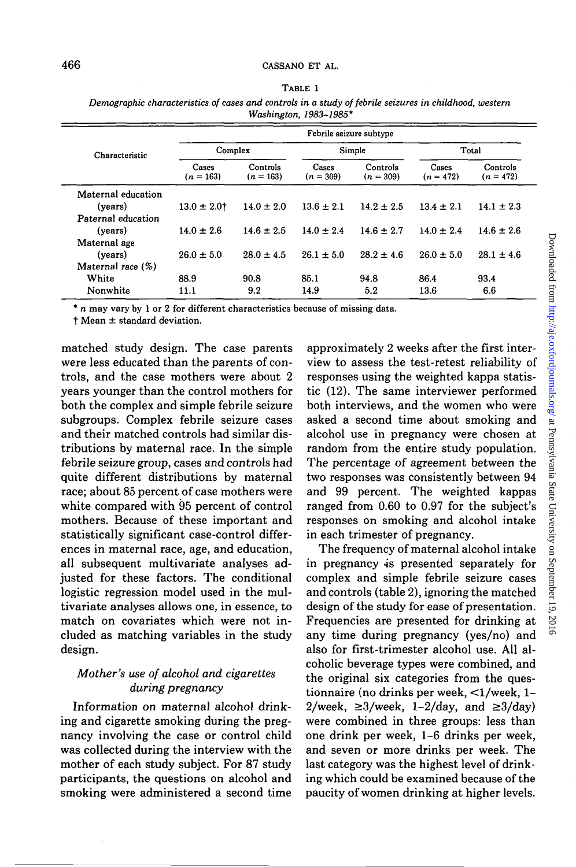| 11 asnington, 1900–1900 |                         |                         |                      |                         |                      |                         |  |
|-------------------------|-------------------------|-------------------------|----------------------|-------------------------|----------------------|-------------------------|--|
| Characteristic          | Febrile seizure subtype |                         |                      |                         |                      |                         |  |
|                         | Complex                 |                         |                      | Simple                  | Total                |                         |  |
|                         | Cases<br>$(n = 163)$    | Controls<br>$(n = 163)$ | Cases<br>$(n = 309)$ | Controls<br>$(n = 309)$ | Cases<br>$(n = 472)$ | Controls<br>$(n = 472)$ |  |
| Maternal education      |                         |                         |                      |                         |                      |                         |  |
| (years)                 | $13.0 \pm 2.0$          | $14.0 \pm 2.0$          | $13.6 \pm 2.1$       | $14.2 \pm 2.5$          | $13.4 \pm 2.1$       | $14.1 \pm 2.3$          |  |
| Paternal education      |                         |                         |                      |                         |                      |                         |  |
| (years)                 | $14.0 \pm 2.6$          | $14.6 \pm 2.5$          | $14.0 \pm 2.4$       | $14.6 \pm 2.7$          | $14.0 \pm 2.4$       | $14.6 \pm 2.6$          |  |
| Maternal age            |                         |                         |                      |                         |                      |                         |  |
| (vears)                 | $26.0 \pm 5.0$          | $28.0 \pm 4.5$          | $26.1 + 5.0$         | $28.2 \pm 4.6$          | $26.0 \pm 5.0$       | $28.1 \pm 4.6$          |  |
| Maternal race (%)       |                         |                         |                      |                         |                      |                         |  |
| White                   | 88.9                    | 90.8                    | 85.1                 | 94.8                    | 86.4                 | 93.4                    |  |
| Nonwhite                | 11.1                    | 9.2                     | 14.9                 | 5.2                     | 13.6                 | 6.6                     |  |

TABLE 1 *Demographic characteristics of cases and controls in a study of febrile seizures in childhood, western Washington, 1983-1985\**

\* *n* may vary by 1 or 2 for different characteristics because of missing data.

 $\dagger$  Mean  $\pm$  standard deviation.

matched study design. The case parents were less educated than the parents of controls, and the case mothers were about 2 years younger than the control mothers for both the complex and simple febrile seizure subgroups. Complex febrile seizure cases and their matched controls had similar distributions by maternal race. In the simple febrile seizure group, cases and controls had quite different distributions by maternal race; about 85 percent of case mothers were white compared with 95 percent of control mothers. Because of these important and statistically significant case-control differences in maternal race, age, and education, all subsequent multivariate analyses adjusted for these factors. The conditional logistic regression model used in the multivariate analyses allows one, in essence, to match on covariates which were not included as matching variables in the study design.

## *Mother's use of alcohol and cigarettes during pregnancy*

Information on maternal alcohol drinking and cigarette smoking during the pregnancy involving the case or control child was collected during the interview with the mother of each study subject. For 87 study participants, the questions on alcohol and smoking were administered a second time approximately 2 weeks after the first interview to assess the test-retest reliability of responses using the weighted kappa statistic (12). The same interviewer performed both interviews, and the women who were asked a second time about smoking and alcohol use in pregnancy were chosen at random from the entire study population. The percentage of agreement between the two responses was consistently between 94 and 99 percent. The weighted kappas ranged from 0.60 to 0.97 for the subject's responses on smoking and alcohol intake in each trimester of pregnancy.

The frequency of maternal alcohol intake in pregnancy is presented separately for complex and simple febrile seizure cases and controls (table 2), ignoring the matched design of the study for ease of presentation. Frequencies are presented for drinking at any time during pregnancy (yes/no) and also for first-trimester alcohol use. All alcoholic beverage types were combined, and the original six categories from the questionnaire (no drinks per week, <1/week, 1-2/week,  $\geq 3$ /week, 1-2/day, and  $\geq 3$ /day) were combined in three groups: less than one drink per week, 1-6 drinks per week, and seven or more drinks per week. The last category was the highest level of drinking which could be examined because of the paucity of women drinking at higher levels.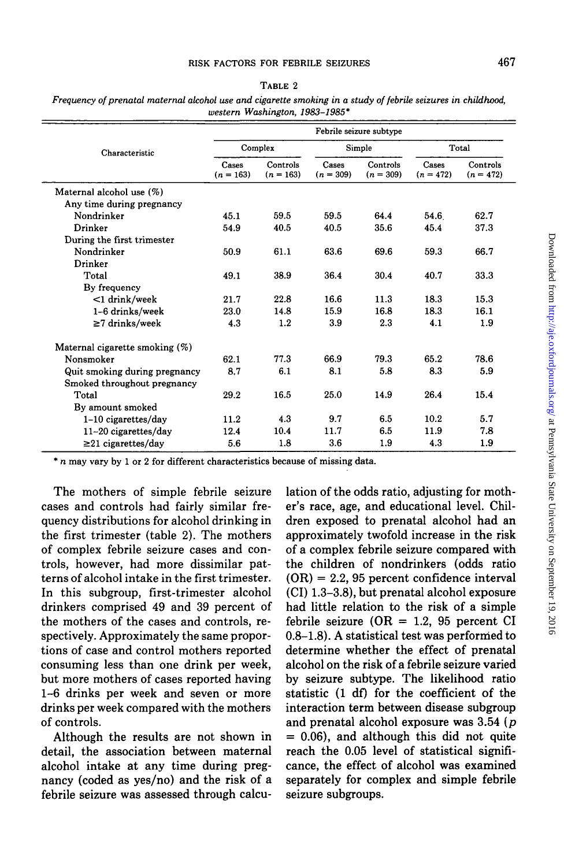| ABL<br>м<br>4 E V |  |
|-------------------|--|
|-------------------|--|

|                                   | Febrile seizure subtype |                         |                      |                         |                      |                         |  |
|-----------------------------------|-------------------------|-------------------------|----------------------|-------------------------|----------------------|-------------------------|--|
| Characteristic                    | Complex                 |                         | Simple               |                         | Total                |                         |  |
|                                   | Cases<br>$(n = 163)$    | Controls<br>$(n = 163)$ | Cases<br>$(n = 309)$ | Controls<br>$(n = 309)$ | Cases<br>$(n = 472)$ | Controls<br>$(n = 472)$ |  |
| Maternal alcohol use (%)          |                         |                         |                      |                         |                      |                         |  |
| Any time during pregnancy         |                         |                         |                      |                         |                      |                         |  |
| Nondrinker                        | 45.1                    | 59.5                    | 59.5                 | 64.4                    | 54.6                 | 62.7                    |  |
| Drinker                           | 54.9                    | 40.5                    | 40.5                 | 35.6                    | 45.4                 | 37.3                    |  |
| During the first trimester        |                         |                         |                      |                         |                      |                         |  |
| Nondrinker                        | 50.9                    | 61.1                    | 63.6                 | 69.6                    | 59.3                 | 66.7                    |  |
| Drinker                           |                         |                         |                      |                         |                      |                         |  |
| Total                             | 49.1                    | 38.9                    | 36.4                 | 30.4                    | 40.7                 | 33.3                    |  |
| By frequency                      |                         |                         |                      |                         |                      |                         |  |
| $<$ 1 drink/week                  | 21.7                    | 22.8                    | 16.6                 | 11.3                    | 18.3                 | 15.3                    |  |
| 1-6 drinks/week                   | 23.0                    | 14.8                    | 15.9                 | 16.8                    | 18.3                 | 16.1                    |  |
| $\geq$ 7 drinks/week              | 4.3                     | 1.2                     | 3.9                  | 2.3                     | 4.1                  | 1.9                     |  |
| Maternal cigarette smoking $(\%)$ |                         |                         |                      |                         |                      |                         |  |
| Nonsmoker                         | 62.1                    | 77.3                    | 66.9                 | 79.3                    | 65.2                 | 78.6                    |  |
| Quit smoking during pregnancy     | 8.7                     | 6.1                     | 8.1                  | 5.8                     | 8.3                  | 5.9                     |  |
| Smoked throughout pregnancy       |                         |                         |                      |                         |                      |                         |  |
| Total                             | 29.2                    | 16.5                    | 25.0                 | 14.9                    | 26.4                 | 15.4                    |  |
| By amount smoked                  |                         |                         |                      |                         |                      |                         |  |
| $1-10$ cigarettes/day             | 11.2                    | 4.3                     | 9.7                  | 6.5                     | 10.2                 | 5.7                     |  |
| 11-20 cigarettes/day              | 12.4                    | 10.4                    | 11.7                 | 6.5                     | 11.9                 | 7.8                     |  |
| $\geq$ 21 cigarettes/day          | 5.6                     | 1.8                     | 3.6                  | 1.9                     | 4.3                  | 1.9                     |  |

*Frequency of prenatal maternal alcohol use and cigarette smoking in a study of febrile seizures in childhood, western Washington, 1983-1985\**

' *n* may vary by 1 or 2 for different characteristics because of missing data.

The mothers of simple febrile seizure cases and controls had fairly similar frequency distributions for alcohol drinking in the first trimester (table 2). The mothers of complex febrile seizure cases and controls, however, had more dissimilar patterns of alcohol intake in the first trimester. In this subgroup, first-trimester alcohol drinkers comprised 49 and 39 percent of the mothers of the cases and controls, respectively. Approximately the same proportions of case and control mothers reported consuming less than one drink per week, but more mothers of cases reported having 1-6 drinks per week and seven or more drinks per week compared with the mothers of controls.

Although the results are not shown in detail, the association between maternal alcohol intake at any time during pregnancy (coded as yes/no) and the risk of a febrile seizure was assessed through calculation of the odds ratio, adjusting for mother's race, age, and educational level. Children exposed to prenatal alcohol had an approximately twofold increase in the risk of a complex febrile seizure compared with the children of nondrinkers (odds ratio  $(OR) = 2.2$ , 95 percent confidence interval (CI) 1.3-3.8), but prenatal alcohol exposure had little relation to the risk of a simple febrile seizure (OR = 1.2, 95 percent CI 0.8-1.8). A statistical test was performed to determine whether the effect of prenatal alcohol on the risk of a febrile seizure varied by seizure subtype. The likelihood ratio statistic (1 df) for the coefficient of the interaction term between disease subgroup and prenatal alcohol exposure was 3.54 (p  $= 0.06$ ), and although this did not quite reach the 0.05 level of statistical significance, the effect of alcohol was examined separately for complex and simple febrile seizure subgroups.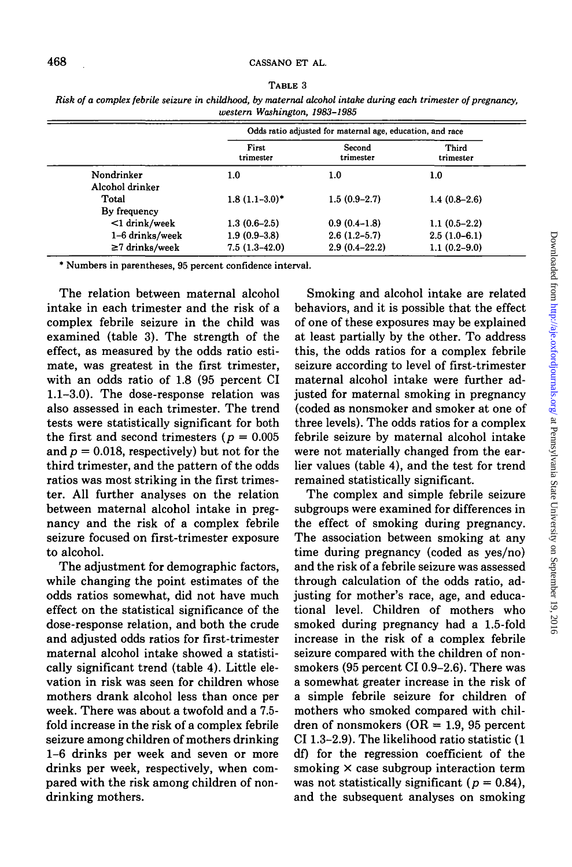|                      | Odds ratio adjusted for maternal age, education, and race |                     |                    |  |  |
|----------------------|-----------------------------------------------------------|---------------------|--------------------|--|--|
|                      | First<br>trimester                                        | Second<br>trimester | Third<br>trimester |  |  |
| Nondrinker           | 1.0                                                       | 1.0                 | 1.0                |  |  |
| Alcohol drinker      |                                                           |                     |                    |  |  |
| Total                | $1.8(1.1-3.0)^*$                                          | $1.5(0.9-2.7)$      | $1.4(0.8-2.6)$     |  |  |
| By frequency         |                                                           |                     |                    |  |  |
| $<$ 1 drink/week     | $1.3(0.6-2.5)$                                            | $0.9(0.4-1.8)$      | $1.1(0.5-2.2)$     |  |  |
| 1-6 drinks/week      | $1.9(0.9-3.8)$                                            | $2.6(1.2-5.7)$      | $2.5(1.0-6.1)$     |  |  |
| $\geq$ 7 drinks/week | $7.5(1.3-42.0)$                                           | $2.9(0.4 - 22.2)$   | $1.1(0.2 - 9.0)$   |  |  |

TABLE 3 *Risk of a complex febrile seizure in childhood, by maternal alcohol intake during each trimester of pregnancy,*

\* Numbers in parentheses, 95 percent confidence interval.

The relation between maternal alcohol intake in each trimester and the risk of a complex febrile seizure in the child was examined (table 3). The strength of the effect, as measured by the odds ratio estimate, was greatest in the first trimester, with an odds ratio of 1.8 (95 percent CI 1.1-3.0). The dose-response relation was also assessed in each trimester. The trend tests were statistically significant for both the first and second trimesters ( $p = 0.005$ and  $p = 0.018$ , respectively) but not for the third trimester, and the pattern of the odds ratios was most striking in the first trimester. All further analyses on the relation between maternal alcohol intake in pregnancy and the risk of a complex febrile seizure focused on first-trimester exposure to alcohol.

The adjustment for demographic factors, while changing the point estimates of the odds ratios somewhat, did not have much effect on the statistical significance of the dose-response relation, and both the crude and adjusted odds ratios for first-trimester maternal alcohol intake showed a statistically significant trend (table 4). Little elevation in risk was seen for children whose mothers drank alcohol less than once per week. There was about a twofold and a 7.5 fold increase in the risk of a complex febrile seizure among children of mothers drinking 1-6 drinks per week and seven or more drinks per week, respectively, when compared with the risk among children of nondrinking mothers.

Smoking and alcohol intake are related behaviors, and it is possible that the effect of one of these exposures may be explained at least partially by the other. To address this, the odds ratios for a complex febrile seizure according to level of first-trimester maternal alcohol intake were further adjusted for maternal smoking in pregnancy (coded as nonsmoker and smoker at one of three levels). The odds ratios for a complex febrile seizure by maternal alcohol intake were not materially changed from the earlier values (table 4), and the test for trend remained statistically significant.

The complex and simple febrile seizure subgroups were examined for differences in the effect of smoking during pregnancy. The association between smoking at any time during pregnancy (coded as yes/no) and the risk of a febrile seizure was assessed through calculation of the odds ratio, adjusting for mother's race, age, and educational level. Children of mothers who smoked during pregnancy had a 1.5-fold increase in the risk of a complex febrile seizure compared with the children of nonsmokers (95 percent CI 0.9-2.6). There was a somewhat greater increase in the risk of a simple febrile seizure for children of mothers who smoked compared with children of nonsmokers  $(OR = 1.9, 95)$  percent CI 1.3-2.9). The likelihood ratio statistic (1 df) for the regression coefficient of the smoking  $\times$  case subgroup interaction term was not statistically significant ( $p = 0.84$ ), and the subsequent analyses on smoking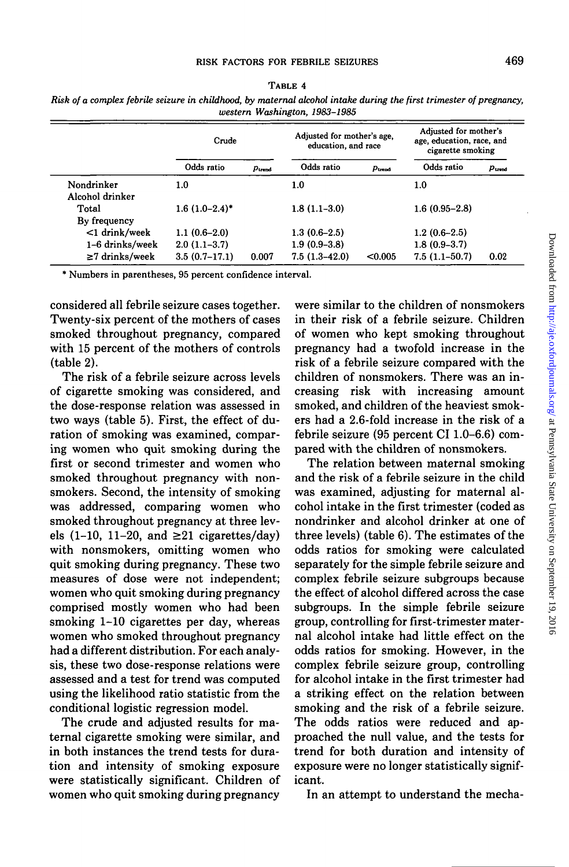|                      | Crude            |                     | Adjusted for mother's age,<br>education, and race |                    | Adjusted for mother's<br>age, education, race, and<br>cigarette smoking |                   |
|----------------------|------------------|---------------------|---------------------------------------------------|--------------------|-------------------------------------------------------------------------|-------------------|
|                      | Odds ratio       | $p_{\mathrm{tend}}$ | Odds ratio                                        | $p_{\text{trend}}$ | Odds ratio                                                              | $p_{\text{trad}}$ |
| Nondrinker           | 1.0              |                     | 1.0                                               |                    | 1.0                                                                     |                   |
| Alcohol drinker      |                  |                     |                                                   |                    |                                                                         |                   |
| Total                | $1.6(1.0-2.4)$ * |                     | $1.8(1.1-3.0)$                                    |                    | $1.6(0.95-2.8)$                                                         |                   |
| By frequency         |                  |                     |                                                   |                    |                                                                         |                   |
| $<$ 1 drink/week     | $1.1(0.6-2.0)$   |                     | $1.3(0.6-2.5)$                                    |                    | $1.2(0.6-2.5)$                                                          |                   |
| 1–6 drinks/week      | $2.0(1.1-3.7)$   |                     | $1.9(0.9-3.8)$                                    |                    | $1.8(0.9-3.7)$                                                          |                   |
| $\geq$ 7 drinks/week | $3.5(0.7-17.1)$  | 0.007               | $7.5(1.3-42.0)$                                   | < 0.005            | $7.5(1.1-50.7)$                                                         | 0.02              |

TABLE 4 *Risk of a complex febrile seizure in childhood, by maternal alcohol intake during the first trimester of pregnancy, western Washington, 1983-1985*

\* Numbers in parentheses, 95 percent confidence interval.

considered all febrile seizure cases together. Twenty-six percent of the mothers of cases smoked throughout pregnancy, compared with 15 percent of the mothers of controls (table 2).

The risk of a febrile seizure across levels of cigarette smoking was considered, and the dose-response relation was assessed in two ways (table 5). First, the effect of duration of smoking was examined, comparing women who quit smoking during the first or second trimester and women who smoked throughout pregnancy with nonsmokers. Second, the intensity of smoking was addressed, comparing women who smoked throughout pregnancy at three levels  $(1-10, 11-20,$  and  $\geq 21$  cigarettes/day) with nonsmokers, omitting women who quit smoking during pregnancy. These two measures of dose were not independent; women who quit smoking during pregnancy comprised mostly women who had been smoking 1-10 cigarettes per day, whereas women who smoked throughout pregnancy had a different distribution. For each analysis, these two dose-response relations were assessed and a test for trend was computed using the likelihood ratio statistic from the conditional logistic regression model.

The crude and adjusted results for maternal cigarette smoking were similar, and in both instances the trend tests for duration and intensity of smoking exposure were statistically significant. Children of women who quit smoking during pregnancy

were similar to the children of nonsmokers in their risk of a febrile seizure. Children of women who kept smoking throughout pregnancy had a twofold increase in the risk of a febrile seizure compared with the children of nonsmokers. There was an increasing risk with increasing amount smoked, and children of the heaviest smokers had a 2.6-fold increase in the risk of a febrile seizure (95 percent CI 1.0-6.6) compared with the children of nonsmokers.

The relation between maternal smoking and the risk of a febrile seizure in the child was examined, adjusting for maternal alcohol intake in the first trimester (coded as nondrinker and alcohol drinker at one of three levels) (table 6). The estimates of the odds ratios for smoking were calculated separately for the simple febrile seizure and complex febrile seizure subgroups because the effect of alcohol differed across the case subgroups. In the simple febrile seizure group, controlling for first-trimester maternal alcohol intake had little effect on the odds ratios for smoking. However, in the complex febrile seizure group, controlling for alcohol intake in the first trimester had a striking effect on the relation between smoking and the risk of a febrile seizure. The odds ratios were reduced and approached the null value, and the tests for trend for both duration and intensity of exposure were no longer statistically significant.

In an attempt to understand the mecha-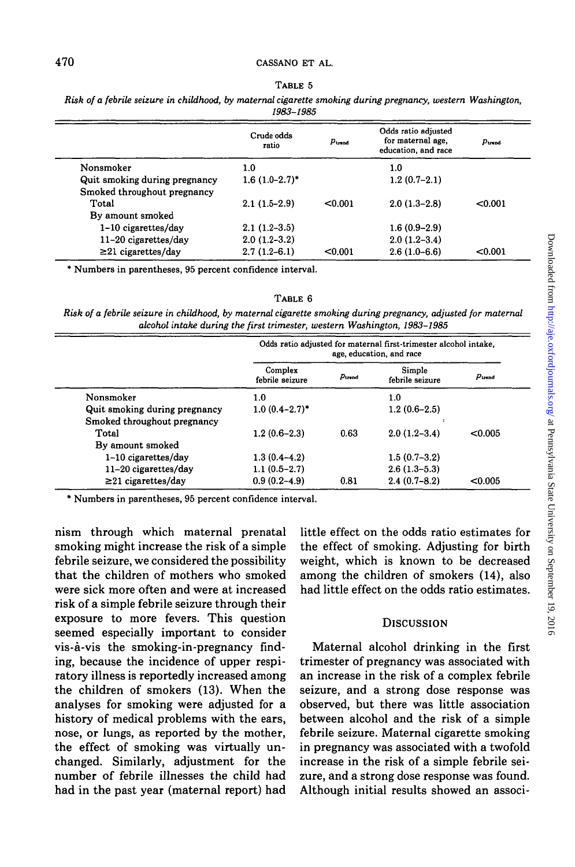TABLE 5

|                               | Crude odds<br>ratio | $p_{\text{trend}}$ | Odds ratio adjusted<br>for maternal age,<br>education, and race | $p_{\text{trend}}$ |
|-------------------------------|---------------------|--------------------|-----------------------------------------------------------------|--------------------|
| Nonsmoker                     | 1.0                 |                    | 1.0                                                             |                    |
| Quit smoking during pregnancy | $1.6(1.0-2.7)$ *    |                    | $1.2(0.7-2.1)$                                                  |                    |
| Smoked throughout pregnancy   |                     |                    |                                                                 |                    |
| Total                         | $2.1(1.5-2.9)$      | < 0.001            | $2.0(1.3-2.8)$                                                  | < 0.001            |
| By amount smoked              |                     |                    |                                                                 |                    |
| $1-10$ cigarettes/day         | $2.1(1.2-3.5)$      |                    | $1.6(0.9-2.9)$                                                  |                    |
| 11-20 cigarettes/day          | $2.0(1.2-3.2)$      |                    | $2.0(1.2-3.4)$                                                  |                    |
| $\geq$ 21 cigarettes/day      | $2.7(1.2-6.1)$      | < 0.001            | $2.6(1.0-6.6)$                                                  | < 0.001            |

\* Numbers in parentheses, 95 percent confidence interval.

TABLE 6

*Risk of a febrile seizure in childhood, by maternal cigarette smoking during pregnancy, adjusted for maternal alcohol intake during the first trimester, western Washington, 1983-1985*

|                               | Odds ratio adjusted for maternal first-trimester alcohol intake,<br>age, education, and race |                    |                           |                    |  |
|-------------------------------|----------------------------------------------------------------------------------------------|--------------------|---------------------------|--------------------|--|
|                               | Complex<br>febrile seizure                                                                   | $p_{\text{trend}}$ | Simple<br>febrile seizure | $p_{\text{trend}}$ |  |
| Nonsmoker                     | 1.0                                                                                          |                    | 1.0                       |                    |  |
| Quit smoking during pregnancy | $1.0(0.4 - 2.7)^*$                                                                           |                    | $1.2(0.6-2.5)$            |                    |  |
| Smoked throughout pregnancy   |                                                                                              |                    |                           |                    |  |
| Total                         | $1.2(0.6-2.3)$                                                                               | 0.63               | $2.0(1.2-3.4)$            | < 0.005            |  |
| By amount smoked              |                                                                                              |                    |                           |                    |  |
| 1-10 cigarettes/day           | $1.3(0.4-4.2)$                                                                               |                    | $1.5(0.7-3.2)$            |                    |  |
| 11-20 cigarettes/day          | $1.1(0.5-2.7)$                                                                               |                    | $2.6(1.3-5.3)$            |                    |  |
| $\geq$ 21 cigarettes/day      | $0.9(0.2-4.9)$                                                                               | 0.81               | $2.4(0.7-8.2)$            | < 0.005            |  |

\* Numbers in parentheses, 95 percent confidence interval.

nism through which maternal prenatal smoking might increase the risk of a simple febrile seizure, we considered the possibility that the children of mothers who smoked were sick more often and were at increased risk of a simple febrile seizure through their exposure to more fevers. This question seemed especially important to consider vis-a-vis the smoking-in-pregnancy finding, because the incidence of upper respiratory illness is reportedly increased among the children of smokers (13). When the analyses for smoking were adjusted for a history of medical problems with the ears, nose, or lungs, as reported by the mother, the effect of smoking was virtually unchanged. Similarly, adjustment for the number of febrile illnesses the child had had in the past year (maternal report) had

little effect on the odds ratio estimates for the effect of smoking. Adjusting for birth weight, which is known to be decreased among the children of smokers (14), also had little effect on the odds ratio estimates.

### **DISCUSSION**

Maternal alcohol drinking in the first trimester of pregnancy was associated with an increase in the risk of a complex febrile seizure, and a strong dose response was observed, but there was little association between alcohol and the risk of a simple febrile seizure. Maternal cigarette smoking in pregnancy was associated with a twofold increase in the risk of a simple febrile seizure, and a strong dose response was found. Although initial results showed an associ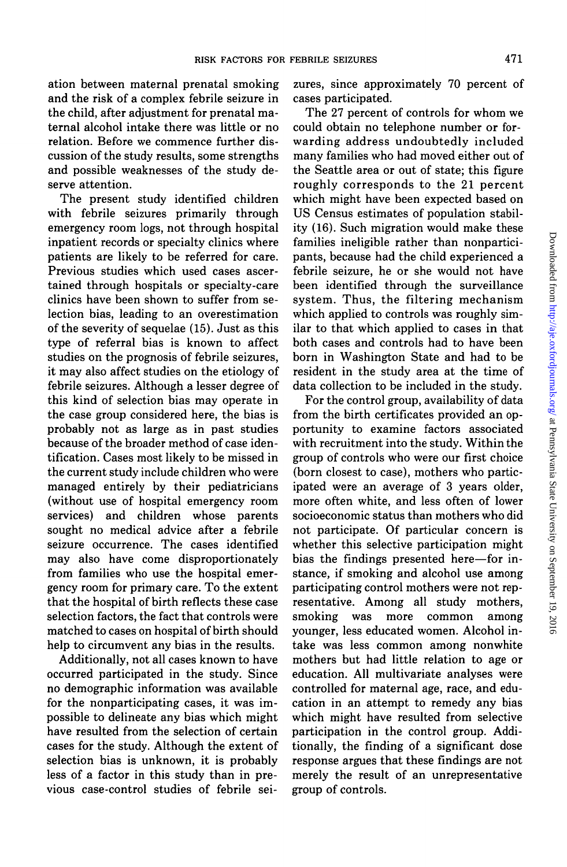ation between maternal prenatal smoking and the risk of a complex febrile seizure in the child, after adjustment for prenatal maternal alcohol intake there was little or no relation. Before we commence further discussion of the study results, some strengths and possible weaknesses of the study deserve attention.

The present study identified children with febrile seizures primarily through emergency room logs, not through hospital inpatient records or specialty clinics where patients are likely to be referred for care. Previous studies which used cases ascertained through hospitals or specialty-care clinics have been shown to suffer from selection bias, leading to an overestimation of the severity of sequelae (15). Just as this type of referral bias is known to affect studies on the prognosis of febrile seizures, it may also affect studies on the etiology of febrile seizures. Although a lesser degree of this kind of selection bias may operate in the case group considered here, the bias is probably not as large as in past studies because of the broader method of case identification. Cases most likely to be missed in the current study include children who were managed entirely by their pediatricians (without use of hospital emergency room services) and children whose parents sought no medical advice after a febrile seizure occurrence. The cases identified may also have come disproportionately from families who use the hospital emergency room for primary care. To the extent that the hospital of birth reflects these case selection factors, the fact that controls were matched to cases on hospital of birth should help to circumvent any bias in the results.

Additionally, not all cases known to have occurred participated in the study. Since no demographic information was available for the nonparticipating cases, it was impossible to delineate any bias which might have resulted from the selection of certain cases for the study. Although the extent of selection bias is unknown, it is probably less of a factor in this study than in previous case-control studies of febrile seizures, since approximately 70 percent of cases participated.

The 27 percent of controls for whom we could obtain no telephone number or forwarding address undoubtedly included many families who had moved either out of the Seattle area or out of state; this figure roughly corresponds to the 21 percent which might have been expected based on US Census estimates of population stability (16). Such migration would make these families ineligible rather than nonparticipants, because had the child experienced a febrile seizure, he or she would not have been identified through the surveillance system. Thus, the filtering mechanism which applied to controls was roughly similar to that which applied to cases in that both cases and controls had to have been born in Washington State and had to be resident in the study area at the time of data collection to be included in the study.

For the control group, availability of data from the birth certificates provided an opportunity to examine factors associated with recruitment into the study. Within the group of controls who were our first choice (born closest to case), mothers who participated were an average of 3 years older, more often white, and less often of lower socioeconomic status than mothers who did not participate. Of particular concern is whether this selective participation might bias the findings presented here—for instance, if smoking and alcohol use among participating control mothers were not representative. Among all study mothers, smoking was more common among younger, less educated women. Alcohol intake was less common among nonwhite mothers but had little relation to age or education. All multivariate analyses were controlled for maternal age, race, and education in an attempt to remedy any bias which might have resulted from selective participation in the control group. Additionally, the finding of a significant dose response argues that these findings are not merely the result of an unrepresentative group of controls.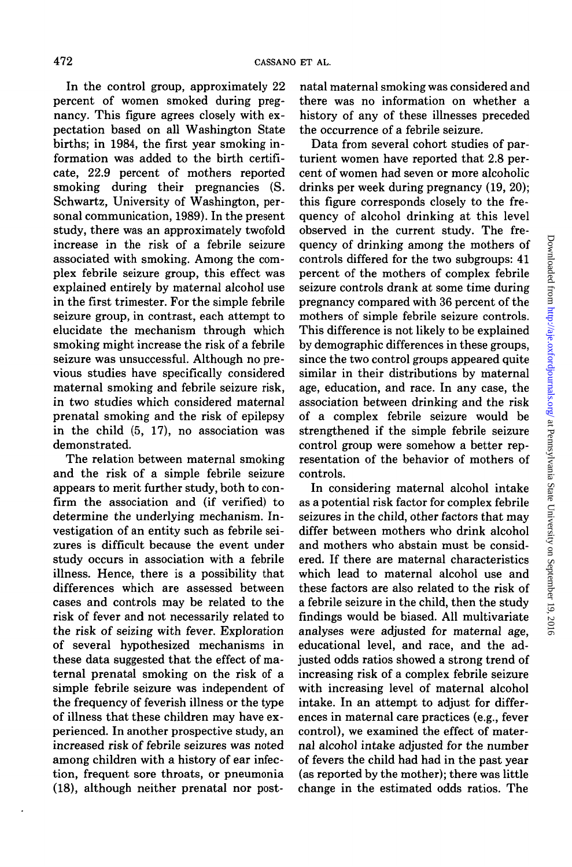In the control group, approximately 22 percent of women smoked during pregnancy. This figure agrees closely with expectation based on all Washington State births; in 1984, the first year smoking information was added to the birth certificate, 22.9 percent of mothers reported smoking during their pregnancies (S. Schwartz, University of Washington, personal communication, 1989). In the present study, there was an approximately twofold increase in the risk of a febrile seizure associated with smoking. Among the complex febrile seizure group, this effect was explained entirely by maternal alcohol use in the first trimester. For the simple febrile seizure group, in contrast, each attempt to elucidate the mechanism through which smoking might increase the risk of a febrile seizure was unsuccessful. Although no previous studies have specifically considered maternal smoking and febrile seizure risk, in two studies which considered maternal prenatal smoking and the risk of epilepsy in the child (5, 17), no association was demonstrated.

The relation between maternal smoking and the risk of a simple febrile seizure appears to merit further study, both to confirm the association and (if verified) to determine the underlying mechanism. Investigation of an entity such as febrile seizures is difficult because the event under study occurs in association with a febrile illness. Hence, there is a possibility that differences which are assessed between cases and controls may be related to the risk of fever and not necessarily related to the risk of seizing with fever. Exploration of several hypothesized mechanisms in these data suggested that the effect of maternal prenatal smoking on the risk of a simple febrile seizure was independent of the frequency of feverish illness or the type of illness that these children may have experienced. In another prospective study, an increased risk of febrile seizures was noted among children with a history of ear infection, frequent sore throats, or pneumonia (18), although neither prenatal nor postnatal maternal smoking was considered and there was no information on whether a history of any of these illnesses preceded the occurrence of a febrile seizure.

Data from several cohort studies of parturient women have reported that 2.8 percent of women had seven or more alcoholic drinks per week during pregnancy (19, 20); this figure corresponds closely to the frequency of alcohol drinking at this level observed in the current study. The frequency of drinking among the mothers of controls differed for the two subgroups: 41 percent of the mothers of complex febrile seizure controls drank at some time during pregnancy compared with 36 percent of the mothers of simple febrile seizure controls. This difference is not likely to be explained by demographic differences in these groups, since the two control groups appeared quite similar in their distributions by maternal age, education, and race. In any case, the association between drinking and the risk of a complex febrile seizure would be strengthened if the simple febrile seizure control group were somehow a better representation of the behavior of mothers of controls.

In considering maternal alcohol intake as a potential risk factor for complex febrile seizures in the child, other factors that may differ between mothers who drink alcohol and mothers who abstain must be considered. If there are maternal characteristics which lead to maternal alcohol use and these factors are also related to the risk of a febrile seizure in the child, then the study findings would be biased. All multivariate analyses were adjusted for maternal age, educational level, and race, and the adjusted odds ratios showed a strong trend of increasing risk of a complex febrile seizure with increasing level of maternal alcohol intake. In an attempt to adjust for differences in maternal care practices (e.g., fever control), we examined the effect of maternal alcohol intake adjusted for the number of fevers the child had had in the past year (as reported by the mother); there was little change in the estimated odds ratios. The